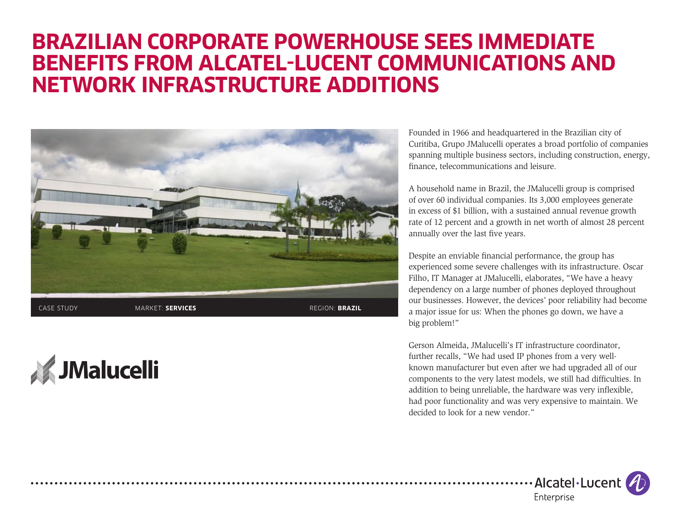## **BRAZILIAN CORPORATE POWERHOUSE SEES IMMEDIATE BENEFITS FROM ALCATEL-LUCENT COMMUNICATIONS AND NETWORK INFRASTRUCTURE ADDITIONS**



**JMalucelli** 

Founded in 1966 and headquartered in the Brazilian city of Curitiba, Grupo JMalucelli operates a broad portfolio of companies spanning multiple business sectors, including construction, energy, finance, telecommunications and leisure.

A household name in Brazil, the JMalucelli group is comprised of over 60 individual companies. Its 3,000 employees generate in excess of \$1 billion, with a sustained annual revenue growth rate of 12 percent and a growth in net worth of almost 28 percent annually over the last five years.

Despite an enviable financial performance, the group has experienced some severe challenges with its infrastructure. Oscar Filho, IT Manager at JMalucelli, elaborates, "We have a heavy dependency on a large number of phones deployed throughout our businesses. However, the devices' poor reliability had become a major issue for us: When the phones go down, we have a big problem!"

Gerson Almeida, JMalucelli's IT infrastructure coordinator, further recalls, "We had used IP phones from a very wellknown manufacturer but even after we had upgraded all of our components to the very latest models, we still had difficulties. In addition to being unreliable, the hardware was very inflexible, had poor functionality and was very expensive to maintain. We decided to look for a new vendor."